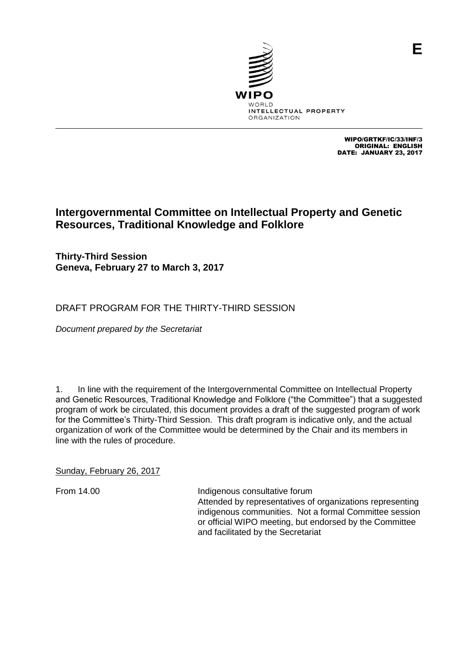

WIPO/GRTKF/IC/33/INF/3 ORIGINAL: ENGLISH DATE: JANUARY 23, 2017

# **Intergovernmental Committee on Intellectual Property and Genetic Resources, Traditional Knowledge and Folklore**

**Thirty-Third Session Geneva, February 27 to March 3, 2017**

## DRAFT PROGRAM FOR THE THIRTY-THIRD SESSION

*Document prepared by the Secretariat*

1. In line with the requirement of the Intergovernmental Committee on Intellectual Property and Genetic Resources, Traditional Knowledge and Folklore ("the Committee") that a suggested program of work be circulated, this document provides a draft of the suggested program of work for the Committee's Thirty-Third Session. This draft program is indicative only, and the actual organization of work of the Committee would be determined by the Chair and its members in line with the rules of procedure.

Sunday, February 26, 2017

From 14.00 **Indigenous consultative forum** Attended by representatives of organizations representing indigenous communities. Not a formal Committee session or official WIPO meeting, but endorsed by the Committee and facilitated by the Secretariat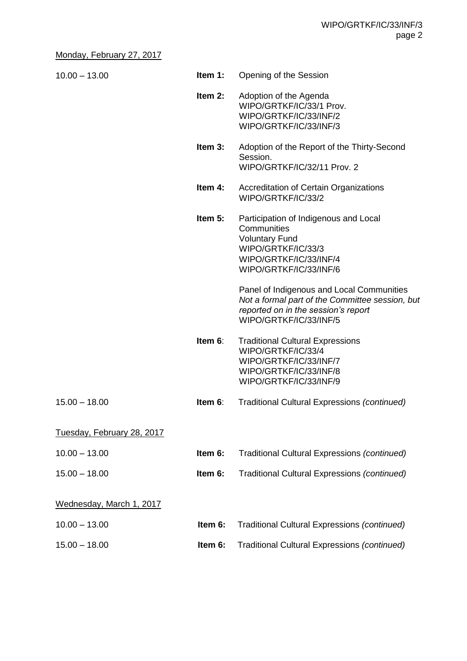#### Monday, February 27, 2017

| $10.00 - 13.00$            | Item 1:    | Opening of the Session                                                                                                                                        |
|----------------------------|------------|---------------------------------------------------------------------------------------------------------------------------------------------------------------|
|                            | Item 2:    | Adoption of the Agenda<br>WIPO/GRTKF/IC/33/1 Prov.<br>WIPO/GRTKF/IC/33/INF/2<br>WIPO/GRTKF/IC/33/INF/3                                                        |
|                            | Item $3:$  | Adoption of the Report of the Thirty-Second<br>Session.<br>WIPO/GRTKF/IC/32/11 Prov. 2                                                                        |
|                            | Item 4:    | <b>Accreditation of Certain Organizations</b><br>WIPO/GRTKF/IC/33/2                                                                                           |
|                            | Item 5:    | Participation of Indigenous and Local<br>Communities<br><b>Voluntary Fund</b><br>WIPO/GRTKF/IC/33/3<br>WIPO/GRTKF/IC/33/INF/4<br>WIPO/GRTKF/IC/33/INF/6       |
|                            |            | Panel of Indigenous and Local Communities<br>Not a formal part of the Committee session, but<br>reported on in the session's report<br>WIPO/GRTKF/IC/33/INF/5 |
|                            | Item 6:    | <b>Traditional Cultural Expressions</b><br>WIPO/GRTKF/IC/33/4<br>WIPO/GRTKF/IC/33/INF/7<br>WIPO/GRTKF/IC/33/INF/8<br>WIPO/GRTKF/IC/33/INF/9                   |
| $15.00 - 18.00$            | Item $6$ : | Traditional Cultural Expressions (continued)                                                                                                                  |
| Tuesday, February 28, 2017 |            |                                                                                                                                                               |
| $10.00 - 13.00$            | Item 6:    | Traditional Cultural Expressions (continued)                                                                                                                  |
| $15.00 - 18.00$            | Item 6:    | Traditional Cultural Expressions (continued)                                                                                                                  |
| Wednesday, March 1, 2017   |            |                                                                                                                                                               |
| $10.00 - 13.00$            | Item 6:    | Traditional Cultural Expressions (continued)                                                                                                                  |
| $15.00 - 18.00$            | Item 6:    | Traditional Cultural Expressions (continued)                                                                                                                  |